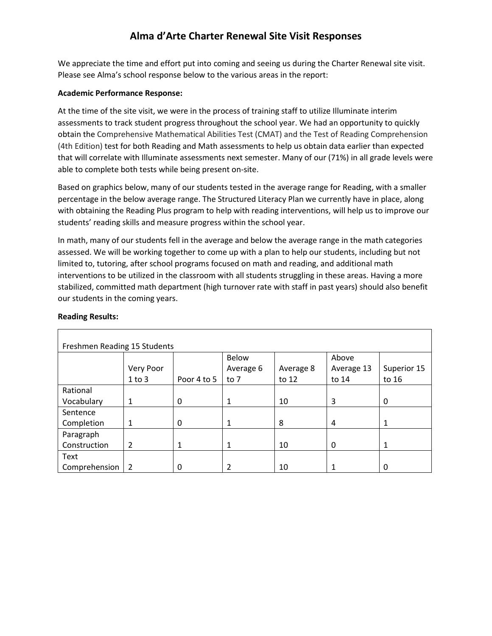We appreciate the time and effort put into coming and seeing us during the Charter Renewal site visit. Please see Alma's school response below to the various areas in the report:

#### **Academic Performance Response:**

At the time of the site visit, we were in the process of training staff to utilize Illuminate interim assessments to track student progress throughout the school year. We had an opportunity to quickly obtain the Comprehensive Mathematical Abilities Test (CMAT) and the Test of Reading Comprehension (4th Edition) test for both Reading and Math assessments to help us obtain data earlier than expected that will correlate with Illuminate assessments next semester. Many of our (71%) in all grade levels were able to complete both tests while being present on-site.

Based on graphics below, many of our students tested in the average range for Reading, with a smaller percentage in the below average range. The Structured Literacy Plan we currently have in place, along with obtaining the Reading Plus program to help with reading interventions, will help us to improve our students' reading skills and measure progress within the school year.

In math, many of our students fell in the average and below the average range in the math categories assessed. We will be working together to come up with a plan to help our students, including but not limited to, tutoring, after school programs focused on math and reading, and additional math interventions to be utilized in the classroom with all students struggling in these areas. Having a more stabilized, committed math department (high turnover rate with staff in past years) should also benefit our students in the coming years.

| Freshmen Reading 15 Students |                |             |           |           |            |             |  |  |  |
|------------------------------|----------------|-------------|-----------|-----------|------------|-------------|--|--|--|
|                              |                |             | Below     |           | Above      |             |  |  |  |
|                              | Very Poor      |             | Average 6 | Average 8 | Average 13 | Superior 15 |  |  |  |
|                              | $1$ to $3$     | Poor 4 to 5 | to 7      | to 12     | to 14      | to 16       |  |  |  |
| Rational                     |                |             |           |           |            |             |  |  |  |
| Vocabulary                   | 1              | 0           | 1         | 10        | 3          | 0           |  |  |  |
| Sentence                     |                |             |           |           |            |             |  |  |  |
| Completion                   | 1              | 0           | 1         | 8         | 4          |             |  |  |  |
| Paragraph                    |                |             |           |           |            |             |  |  |  |
| Construction                 | $\overline{2}$ | 1           | 1         | 10        | 0          | 1           |  |  |  |
| Text                         |                |             |           |           |            |             |  |  |  |
| Comprehension                | -2             | 0           | 2         | 10        |            | $\Omega$    |  |  |  |

#### **Reading Results:**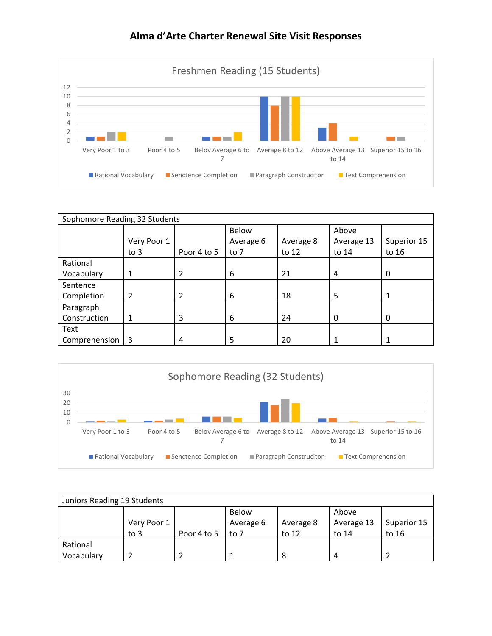

| Sophomore Reading 32 Students |             |             |              |           |            |             |  |  |
|-------------------------------|-------------|-------------|--------------|-----------|------------|-------------|--|--|
|                               |             |             | <b>Below</b> |           | Above      |             |  |  |
|                               | Very Poor 1 |             | Average 6    | Average 8 | Average 13 | Superior 15 |  |  |
|                               | to $3$      | Poor 4 to 5 | to $7$       | to 12     | to 14      | to 16       |  |  |
| Rational                      |             |             |              |           |            |             |  |  |
| Vocabulary                    | 1           | 2           | 6            | 21        | 4          | 0           |  |  |
| Sentence                      |             |             |              |           |            |             |  |  |
| Completion                    | 2           | 2           | 6            | 18        | 5          |             |  |  |
| Paragraph                     |             |             |              |           |            |             |  |  |
| Construction                  | 1           | 3           | 6            | 24        | 0          | 0           |  |  |
| Text                          |             |             |              |           |            |             |  |  |
| Comprehension                 | 3           | 4           | 5            | 20        |            |             |  |  |



| Juniors Reading 19 Students |             |             |           |           |            |             |  |  |
|-----------------------------|-------------|-------------|-----------|-----------|------------|-------------|--|--|
|                             |             |             | Below     |           | Above      |             |  |  |
|                             | Very Poor 1 |             | Average 6 | Average 8 | Average 13 | Superior 15 |  |  |
|                             | to $3$      | Poor 4 to 5 | to 7      | to 12     | to 14      | to 16       |  |  |
| Rational                    |             |             |           |           |            |             |  |  |
| Vocabulary                  |             |             |           |           | Δ          |             |  |  |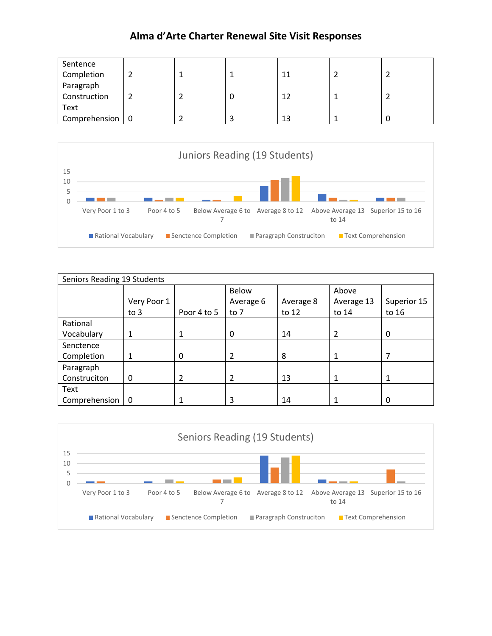| Sentence                      |  |    |  |
|-------------------------------|--|----|--|
| Completion                    |  | 11 |  |
| Paragraph                     |  |    |  |
| Construction                  |  | 12 |  |
| Text                          |  |    |  |
| Comprehension $\vert 0 \vert$ |  | 13 |  |



| Seniors Reading 19 Students |              |             |                |           |            |             |  |  |
|-----------------------------|--------------|-------------|----------------|-----------|------------|-------------|--|--|
|                             |              |             | Below          |           | Above      |             |  |  |
|                             | Very Poor 1  |             | Average 6      | Average 8 | Average 13 | Superior 15 |  |  |
|                             | to $3$       | Poor 4 to 5 | to 7           | to 12     | to 14      | to 16       |  |  |
| Rational                    |              |             |                |           |            |             |  |  |
| Vocabulary                  | 1            | 1           | 0              | 14        | 2          | 0           |  |  |
| Senctence                   |              |             |                |           |            |             |  |  |
| Completion                  | $\mathbf{1}$ | 0           | $\overline{2}$ | 8         |            | 7           |  |  |
| Paragraph                   |              |             |                |           |            |             |  |  |
| Construciton                | 0            | 2           | $\overline{2}$ | 13        |            | 1           |  |  |
| Text                        |              |             |                |           |            |             |  |  |
| Comprehension               | 0            |             | 3              | 14        |            | 0           |  |  |

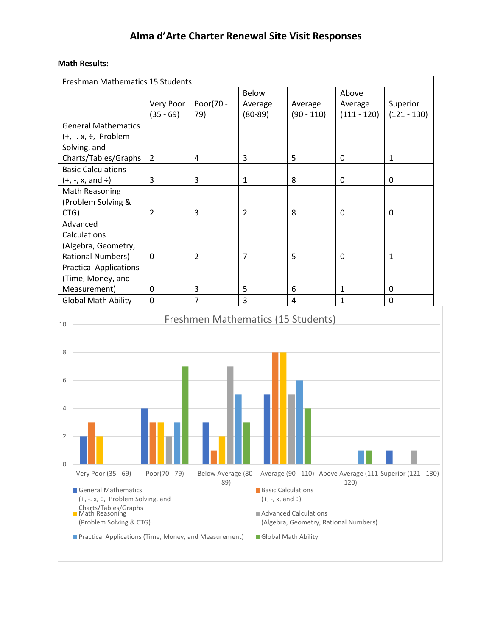#### **Math Results:**

| <b>Freshman Mathematics 15 Students</b>               |                |                |                           |                                       |               |                                                                               |  |
|-------------------------------------------------------|----------------|----------------|---------------------------|---------------------------------------|---------------|-------------------------------------------------------------------------------|--|
|                                                       |                |                | Below                     |                                       | Above         |                                                                               |  |
|                                                       | Very Poor      | Poor(70 -      | Average                   | Average                               | Average       | Superior                                                                      |  |
|                                                       | $(35 - 69)$    | 79)            | $(80-89)$                 | $(90 - 110)$                          | $(111 - 120)$ | $(121 - 130)$                                                                 |  |
| <b>General Mathematics</b>                            |                |                |                           |                                       |               |                                                                               |  |
| $(+, -, x, \div,$ Problem                             |                |                |                           |                                       |               |                                                                               |  |
| Solving, and                                          |                |                |                           |                                       |               |                                                                               |  |
| Charts/Tables/Graphs                                  | $\overline{2}$ | 4              | 3                         | 5                                     | $\mathbf 0$   | $\mathbf{1}$                                                                  |  |
| <b>Basic Calculations</b>                             |                |                |                           |                                       |               |                                                                               |  |
| $(+, -, x, and \div)$                                 | 3              | 3              | $\mathbf 1$               | 8                                     | 0             | 0                                                                             |  |
| Math Reasoning                                        |                |                |                           |                                       |               |                                                                               |  |
| (Problem Solving &                                    |                |                |                           |                                       |               |                                                                               |  |
| CTG)                                                  | $\overline{2}$ | 3              | $\overline{2}$            | 8                                     | $\mathbf 0$   | 0                                                                             |  |
| Advanced                                              |                |                |                           |                                       |               |                                                                               |  |
| Calculations                                          |                |                |                           |                                       |               |                                                                               |  |
| (Algebra, Geometry,                                   |                |                |                           |                                       |               |                                                                               |  |
| <b>Rational Numbers)</b>                              | 0              | $\overline{2}$ | 7                         | 5                                     | 0             | $\mathbf{1}$                                                                  |  |
| <b>Practical Applications</b>                         |                |                |                           |                                       |               |                                                                               |  |
| (Time, Money, and                                     |                |                |                           |                                       |               |                                                                               |  |
| Measurement)                                          | 0              | 3              | 5                         | 6                                     | $\mathbf{1}$  | 0                                                                             |  |
| <b>Global Math Ability</b>                            | $\mathbf 0$    | $\overline{7}$ | $\overline{3}$            | 4                                     | $\mathbf{1}$  | 0                                                                             |  |
|                                                       |                |                |                           |                                       |               |                                                                               |  |
| 10                                                    |                |                |                           | Freshmen Mathematics (15 Students)    |               |                                                                               |  |
|                                                       |                |                |                           |                                       |               |                                                                               |  |
| 8                                                     |                |                |                           |                                       |               |                                                                               |  |
|                                                       |                |                |                           |                                       |               |                                                                               |  |
|                                                       |                |                |                           |                                       |               |                                                                               |  |
| 6                                                     |                |                |                           |                                       |               |                                                                               |  |
|                                                       |                |                |                           |                                       |               |                                                                               |  |
|                                                       |                |                |                           |                                       |               |                                                                               |  |
| 4                                                     |                |                |                           |                                       |               |                                                                               |  |
|                                                       |                |                |                           |                                       |               |                                                                               |  |
| 2                                                     |                |                |                           |                                       |               |                                                                               |  |
|                                                       |                |                |                           |                                       |               |                                                                               |  |
|                                                       |                |                |                           |                                       |               |                                                                               |  |
| 0                                                     | Poor(70 - 79)  |                |                           |                                       |               |                                                                               |  |
| Very Poor (35 - 69)                                   |                | 89)            |                           |                                       | $-120$        | Below Average (80- Average (90 - 110) Above Average (111 Superior (121 - 130) |  |
| General Mathematics                                   |                |                | <b>Basic Calculations</b> |                                       |               |                                                                               |  |
| $(+, -, x, \div,$ Problem Solving, and                |                |                | $(+, -, x, and \div)$     |                                       |               |                                                                               |  |
| Charts/Tables/Graphs<br>■ Math Reasoning              |                |                |                           | Advanced Calculations                 |               |                                                                               |  |
| (Problem Solving & CTG)                               |                |                |                           | (Algebra, Geometry, Rational Numbers) |               |                                                                               |  |
| Practical Applications (Time, Money, and Measurement) |                |                | Global Math Ability       |                                       |               |                                                                               |  |
|                                                       |                |                |                           |                                       |               |                                                                               |  |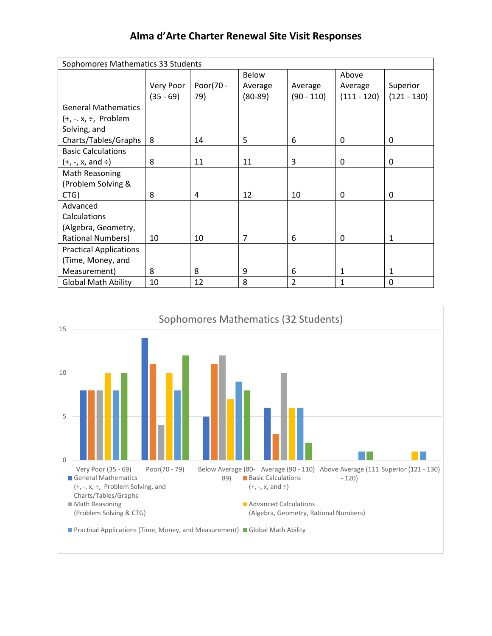| Sophomores Mathematics 33 Students |           |           |           |                |               |               |
|------------------------------------|-----------|-----------|-----------|----------------|---------------|---------------|
|                                    |           |           | Below     |                | Above         |               |
|                                    | Very Poor | Poor(70 - | Average   | Average        | Average       | Superior      |
|                                    | (35 - 69) | 79)       | $(80-89)$ | $(90 - 110)$   | $(111 - 120)$ | $(121 - 130)$ |
| <b>General Mathematics</b>         |           |           |           |                |               |               |
| $(+, -x, \div,$ Problem            |           |           |           |                |               |               |
| Solving, and                       |           |           |           |                |               |               |
| Charts/Tables/Graphs               | 8         | 14        | 5         | 6              | 0             | 0             |
| <b>Basic Calculations</b>          |           |           |           |                |               |               |
| $(+, -, x,$ and $\div)$            | 8         | 11        | 11        | 3              | 0             | 0             |
| Math Reasoning                     |           |           |           |                |               |               |
| (Problem Solving &                 |           |           |           |                |               |               |
| CTG)                               | 8         | 4         | 12        | 10             | 0             | 0             |
| Advanced                           |           |           |           |                |               |               |
| Calculations                       |           |           |           |                |               |               |
| (Algebra, Geometry,                |           |           |           |                |               |               |
| <b>Rational Numbers)</b>           | 10        | 10        | 7         | 6              | 0             | 1             |
| <b>Practical Applications</b>      |           |           |           |                |               |               |
| (Time, Money, and                  |           |           |           |                |               |               |
| Measurement)                       | 8         | 8         | 9         | 6              | 1             | 1             |
| <b>Global Math Ability</b>         | 10        | 12        | 8         | $\overline{2}$ | $\mathbf{1}$  | 0             |

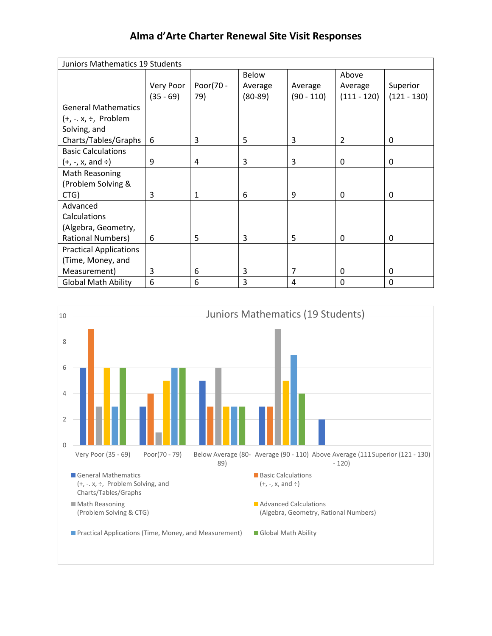| Juniors Mathematics 19 Students |           |           |              |            |               |               |
|---------------------------------|-----------|-----------|--------------|------------|---------------|---------------|
|                                 |           |           | <b>Below</b> |            | Above         |               |
|                                 | Very Poor | Poor(70 - | Average      | Average    | Average       | Superior      |
|                                 | (35 - 69) | 79)       | $(80-89)$    | (90 - 110) | $(111 - 120)$ | $(121 - 130)$ |
| <b>General Mathematics</b>      |           |           |              |            |               |               |
| $(+, -x, \div,$ Problem         |           |           |              |            |               |               |
| Solving, and                    |           |           |              |            |               |               |
| Charts/Tables/Graphs            | 6         | 3         | 5            | 3          | 2             | 0             |
| <b>Basic Calculations</b>       |           |           |              |            |               |               |
| (+, -, x, and ÷)                | 9         | 4         | 3            | 3          | 0             | 0             |
| Math Reasoning                  |           |           |              |            |               |               |
| (Problem Solving &              |           |           |              |            |               |               |
| CTG)                            | 3         | 1         | 6            | 9          | 0             | 0             |
| Advanced                        |           |           |              |            |               |               |
| Calculations                    |           |           |              |            |               |               |
| (Algebra, Geometry,             |           |           |              |            |               |               |
| <b>Rational Numbers)</b>        | 6         | 5         | 3            | 5          | 0             | 0             |
| <b>Practical Applications</b>   |           |           |              |            |               |               |
| (Time, Money, and               |           |           |              |            |               |               |
| Measurement)                    | 3         | 6         | 3            | 7          | 0             | 0             |
| <b>Global Math Ability</b>      | 6         | 6         | 3            | 4          | 0             | 0             |

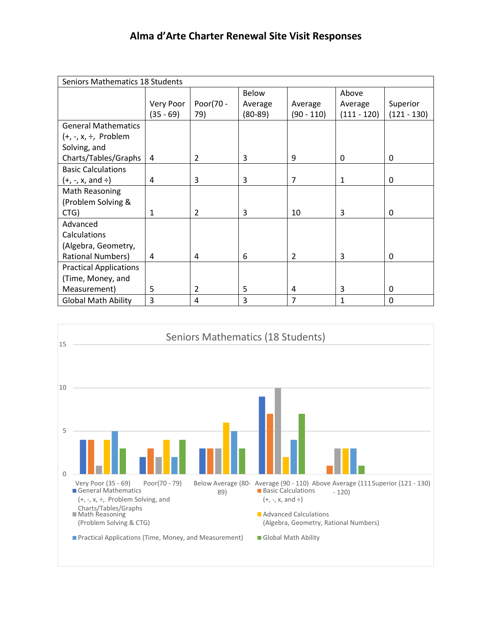| Seniors Mathematics 18 Students |              |           |           |               |               |               |
|---------------------------------|--------------|-----------|-----------|---------------|---------------|---------------|
|                                 |              |           | Below     |               | Above         |               |
|                                 | Very Poor    | Poor(70 - | Average   | Average       | Average       | Superior      |
|                                 | (35 - 69)    | 79)       | $(80-89)$ | $(90 - 110)$  | $(111 - 120)$ | $(121 - 130)$ |
| <b>General Mathematics</b>      |              |           |           |               |               |               |
| $(+, -, x, \div,$ Problem       |              |           |           |               |               |               |
| Solving, and                    |              |           |           |               |               |               |
| Charts/Tables/Graphs            | 4            | 2         | 3         | 9             | 0             | 0             |
| <b>Basic Calculations</b>       |              |           |           |               |               |               |
| $(+, -, x,$ and $\div)$         | 4            | 3         | 3         | 7             | 1             | 0             |
| Math Reasoning                  |              |           |           |               |               |               |
| (Problem Solving &              |              |           |           |               |               |               |
| CTG)                            | $\mathbf{1}$ | 2         | 3         | 10            | 3             | 0             |
| Advanced                        |              |           |           |               |               |               |
| Calculations                    |              |           |           |               |               |               |
| (Algebra, Geometry,             |              |           |           |               |               |               |
| <b>Rational Numbers)</b>        | 4            | 4         | 6         | $\mathcal{P}$ | 3             | 0             |
| <b>Practical Applications</b>   |              |           |           |               |               |               |
| (Time, Money, and               |              |           |           |               |               |               |
| Measurement)                    | 5            | 2         | 5         | 4             | 3             | 0             |
| <b>Global Math Ability</b>      | 3            | 4         | 3         | 7             | $\mathbf{1}$  | 0             |